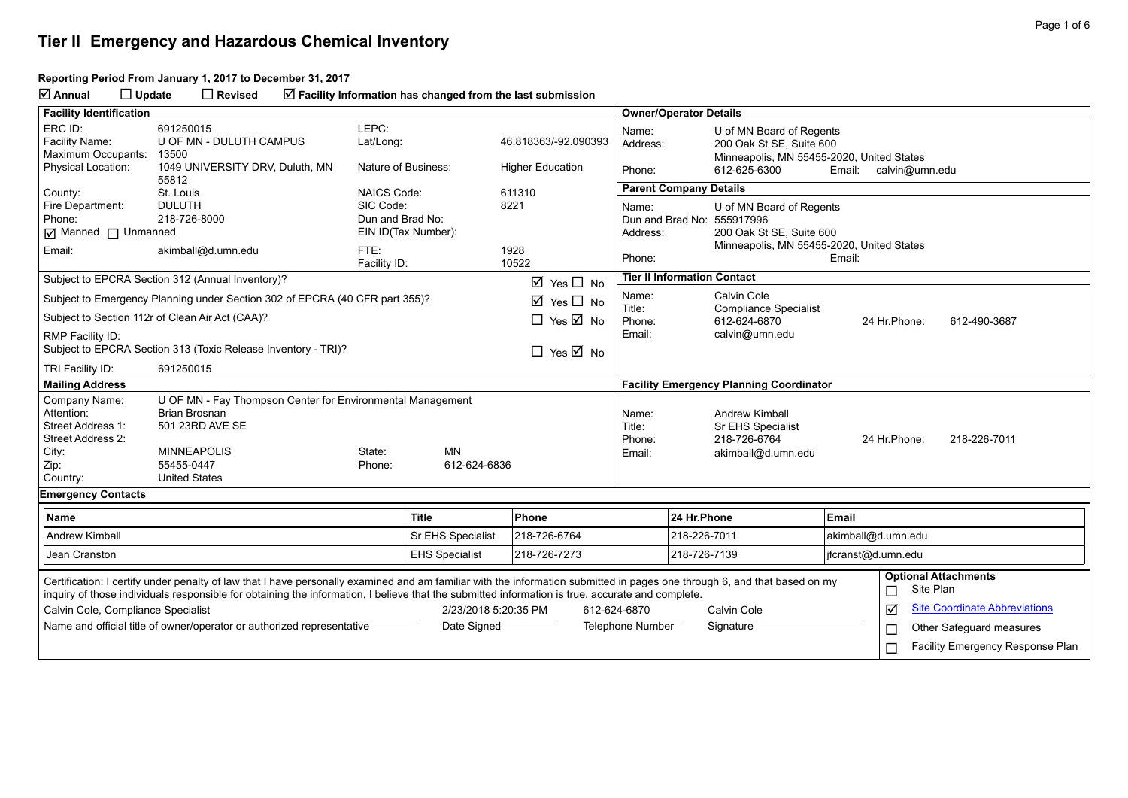### **Tier II Emergency and Hazardous Chemical Inventory**

#### **Reporting Period From January 1, 2017 to December 31, 2017**

**Annual Update Revised Facility Information has changed from the last submission**

| <b>Facility Identification</b>                                                                                                                                                                                                                                                                                                |                                                                                                |                       |                   |                                      |                                                                                                                                             | <b>Owner/Operator Details</b>                   |                                                                                                   |                                                         |               |                                          |  |
|-------------------------------------------------------------------------------------------------------------------------------------------------------------------------------------------------------------------------------------------------------------------------------------------------------------------------------|------------------------------------------------------------------------------------------------|-----------------------|-------------------|--------------------------------------|---------------------------------------------------------------------------------------------------------------------------------------------|-------------------------------------------------|---------------------------------------------------------------------------------------------------|---------------------------------------------------------|---------------|------------------------------------------|--|
| ERC ID:<br>Facility Name:<br>Maximum Occupants:                                                                                                                                                                                                                                                                               | 691250015<br>U OF MN - DULUTH CAMPUS<br>13500                                                  | LEPC:<br>Lat/Long:    |                   | 46.818363/-92.090393                 | Name:<br>Address:                                                                                                                           |                                                 | U of MN Board of Regents<br>200 Oak St SE, Suite 600<br>Minneapolis, MN 55455-2020, United States |                                                         |               |                                          |  |
| <b>Physical Location:</b>                                                                                                                                                                                                                                                                                                     | 1049 UNIVERSITY DRV, Duluth, MN<br>55812                                                       | Nature of Business:   |                   | <b>Higher Education</b>              |                                                                                                                                             | Phone:<br>612-625-6300<br>Email: calvin@umn.edu |                                                                                                   |                                                         |               |                                          |  |
| County:                                                                                                                                                                                                                                                                                                                       | St. Louis                                                                                      | <b>NAICS Code:</b>    |                   | 611310                               |                                                                                                                                             | <b>Parent Company Details</b>                   |                                                                                                   |                                                         |               |                                          |  |
| Fire Department:<br>Phone:<br>$\boxed{\triangleleft}$ Manned $\boxed{\phantom{a}}$ Unmanned                                                                                                                                                                                                                                   | <b>DULUTH</b><br>SIC Code:<br>218-726-8000<br>Dun and Brad No:<br>EIN ID(Tax Number):          |                       | 8221              | Name:                                | U of MN Board of Regents<br>Dun and Brad No: 555917996<br>200 Oak St SE, Suite 600<br>Address:<br>Minneapolis, MN 55455-2020, United States |                                                 |                                                                                                   |                                                         |               |                                          |  |
| Email:                                                                                                                                                                                                                                                                                                                        | akimball@d.umn.edu                                                                             | FTE:<br>Facility ID:  |                   | 1928<br>10522                        | Phone:                                                                                                                                      |                                                 |                                                                                                   | Email:                                                  |               |                                          |  |
|                                                                                                                                                                                                                                                                                                                               | Subject to EPCRA Section 312 (Annual Inventory)?                                               |                       |                   | ☑<br>Yes $\Box$ No                   |                                                                                                                                             |                                                 | <b>Tier II Information Contact</b>                                                                |                                                         |               |                                          |  |
|                                                                                                                                                                                                                                                                                                                               | Subject to Emergency Planning under Section 302 of EPCRA (40 CFR part 355)?                    |                       |                   | ☑<br>Yes $\Box$ No                   | Name:<br>Title:                                                                                                                             | Calvin Cole<br><b>Compliance Specialist</b>     |                                                                                                   |                                                         |               |                                          |  |
|                                                                                                                                                                                                                                                                                                                               | Subject to Section 112r of Clean Air Act (CAA)?                                                |                       |                   | $\Box$ Yes $\overline{\boxtimes}$ No | Phone:<br>Email:                                                                                                                            |                                                 | 612-624-6870<br>calvin@umn.edu                                                                    |                                                         | 24 Hr.Phone:  | 612-490-3687                             |  |
| RMP Facility ID:                                                                                                                                                                                                                                                                                                              | Subject to EPCRA Section 313 (Toxic Release Inventory - TRI)?                                  |                       |                   | $\Box$ Yes $\overline{\Box}$ No      |                                                                                                                                             |                                                 |                                                                                                   |                                                         |               |                                          |  |
| TRI Facility ID:                                                                                                                                                                                                                                                                                                              | 691250015                                                                                      |                       |                   |                                      |                                                                                                                                             |                                                 |                                                                                                   |                                                         |               |                                          |  |
| <b>Mailing Address</b>                                                                                                                                                                                                                                                                                                        |                                                                                                |                       |                   |                                      |                                                                                                                                             |                                                 | <b>Facility Emergency Planning Coordinator</b>                                                    |                                                         |               |                                          |  |
| Company Name:<br>Attention:<br>Street Address 1:<br>Street Address 2:                                                                                                                                                                                                                                                         | U OF MN - Fay Thompson Center for Environmental Management<br>Brian Brosnan<br>501 23RD AVE SE |                       |                   |                                      | Name:<br>Title:<br>Phone:                                                                                                                   |                                                 | Andrew Kimball<br>Sr EHS Specialist<br>218-726-6764                                               |                                                         | 24 Hr. Phone: | 218-226-7011                             |  |
| City:                                                                                                                                                                                                                                                                                                                         | <b>MINNEAPOLIS</b>                                                                             | State:                | <b>MN</b>         |                                      | Email:                                                                                                                                      |                                                 | akimball@d.umn.edu                                                                                |                                                         |               |                                          |  |
| Zip:<br>Country:                                                                                                                                                                                                                                                                                                              | 55455-0447<br><b>United States</b>                                                             | Phone:                | 612-624-6836      |                                      |                                                                                                                                             |                                                 |                                                                                                   |                                                         |               |                                          |  |
| <b>Emergency Contacts</b>                                                                                                                                                                                                                                                                                                     |                                                                                                |                       |                   |                                      |                                                                                                                                             |                                                 |                                                                                                   |                                                         |               |                                          |  |
| Name                                                                                                                                                                                                                                                                                                                          |                                                                                                |                       | <b>Title</b>      | Phone                                |                                                                                                                                             | 24 Hr.Phone                                     |                                                                                                   | Email                                                   |               |                                          |  |
| Andrew Kimball                                                                                                                                                                                                                                                                                                                |                                                                                                |                       | Sr EHS Specialist | 218-726-6764                         |                                                                                                                                             | 218-226-7011                                    |                                                                                                   | akimball@d.umn.edu                                      |               |                                          |  |
| Jean Cranston                                                                                                                                                                                                                                                                                                                 |                                                                                                | <b>EHS Specialist</b> | 218-726-7273      |                                      | 218-726-7139                                                                                                                                |                                                 | jfcranst@d.umn.edu                                                                                |                                                         |               |                                          |  |
| Certification: I certify under penalty of law that I have personally examined and am familiar with the information submitted in pages one through 6, and that based on my<br>inquiry of those individuals responsible for obtaining the information, I believe that the submitted information is true, accurate and complete. |                                                                                                |                       |                   |                                      |                                                                                                                                             |                                                 |                                                                                                   |                                                         | $\Box$        | <b>Optional Attachments</b><br>Site Plan |  |
| Calvin Cole, Compliance Specialist<br>2/23/2018 5:20:35 PM                                                                                                                                                                                                                                                                    |                                                                                                |                       |                   | 612-624-6870                         |                                                                                                                                             | Calvin Cole                                     |                                                                                                   | $\triangledown$<br><b>Site Coordinate Abbreviations</b> |               |                                          |  |
|                                                                                                                                                                                                                                                                                                                               | Name and official title of owner/operator or authorized representative                         |                       | Date Signed       |                                      | <b>Telephone Number</b>                                                                                                                     |                                                 | Signature                                                                                         |                                                         | $\Box$        | Other Safeguard measures                 |  |
|                                                                                                                                                                                                                                                                                                                               |                                                                                                |                       |                   |                                      |                                                                                                                                             |                                                 |                                                                                                   |                                                         | г             | Facility Emergency Response Plan         |  |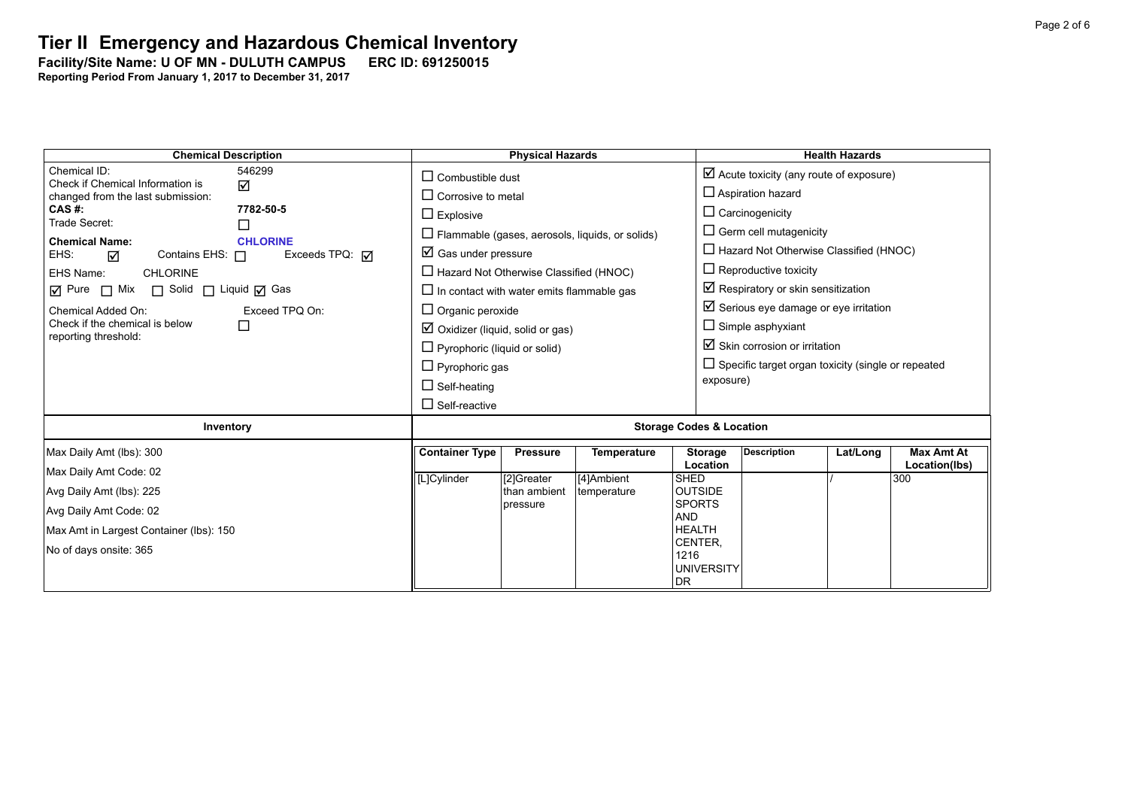## **Tier II Emergency and Hazardous Chemical Inventory**

#### Facility/Site Name: U OF MN - DULUTH CAMPUS ERC ID: 691250015

| <b>Chemical Description</b>                                                                                                                                                                                                                                                                  | <b>Physical Hazards</b>                                                                                                                                                                                                                   | <b>Health Hazards</b>                                                                                                                                                                                                                           |  |  |  |  |  |
|----------------------------------------------------------------------------------------------------------------------------------------------------------------------------------------------------------------------------------------------------------------------------------------------|-------------------------------------------------------------------------------------------------------------------------------------------------------------------------------------------------------------------------------------------|-------------------------------------------------------------------------------------------------------------------------------------------------------------------------------------------------------------------------------------------------|--|--|--|--|--|
| Chemical ID:<br>546299<br>Check if Chemical Information is<br>☑<br>changed from the last submission:<br>7782-50-5<br>CAS #:<br>Trade Secret:<br><b>Chemical Name:</b><br><b>CHLORINE</b><br>Contains EHS: $\Box$<br>Exceeds TPQ: $\overline{M}$<br>EHS:<br>☑<br>EHS Name:<br><b>CHLORINE</b> | $\Box$ Combustible dust<br>$\Box$ Corrosive to metal<br>$\Box$ Explosive<br>$\Box$ Flammable (gases, aerosols, liquids, or solids)<br>$\boxtimes$ Gas under pressure<br>$\Box$ Hazard Not Otherwise Classified (HNOC)                     | $\boxtimes$ Acute toxicity (any route of exposure)<br>$\Box$ Aspiration hazard<br>$\Box$ Carcinogenicity<br>$\Box$ Germ cell mutagenicity<br>$\Box$ Hazard Not Otherwise Classified (HNOC)<br>$\Box$ Reproductive toxicity                      |  |  |  |  |  |
| $\Box$ Mix<br>$\boxtimes$ Pure<br>□ Solid □ Liquid □ Gas<br>Chemical Added On:<br>Exceed TPQ On:<br>Check if the chemical is below<br>□<br>reporting threshold:                                                                                                                              | $\Box$ In contact with water emits flammable gas<br>$\Box$ Organic peroxide<br>$\boxtimes$ Oxidizer (liquid, solid or gas)<br>$\Box$ Pyrophoric (liquid or solid)<br>$\Box$ Pyrophoric gas<br>$\Box$ Self-heating<br>$\Box$ Self-reactive | Respiratory or skin sensitization<br>$\boxtimes$ Serious eye damage or eye irritation<br>$\Box$ Simple asphyxiant<br>$\boxtimes$ Skin corrosion or irritation<br>$\Box$ Specific target organ toxicity (single or repeated<br>exposure)         |  |  |  |  |  |
| Inventory                                                                                                                                                                                                                                                                                    | <b>Storage Codes &amp; Location</b>                                                                                                                                                                                                       |                                                                                                                                                                                                                                                 |  |  |  |  |  |
| Max Daily Amt (lbs): 300<br>Max Daily Amt Code: 02<br>Avg Daily Amt (lbs): 225<br>Avg Daily Amt Code: 02<br>Max Amt in Largest Container (lbs): 150<br>No of days onsite: 365                                                                                                                | <b>Container Type</b><br><b>Pressure</b><br><b>Temperature</b><br>[4]Ambient<br>[L]Cylinder<br>[2]Greater<br>than ambient<br>temperature<br>pressure                                                                                      | <b>Description</b><br><b>Max Amt At</b><br><b>Storage</b><br>Lat/Long<br>Location<br>Location(lbs)<br><b>SHED</b><br>300<br><b>OUTSIDE</b><br><b>SPORTS</b><br><b>AND</b><br><b>HEALTH</b><br>CENTER,<br>1216<br><b>UNIVERSITY</b><br><b>DR</b> |  |  |  |  |  |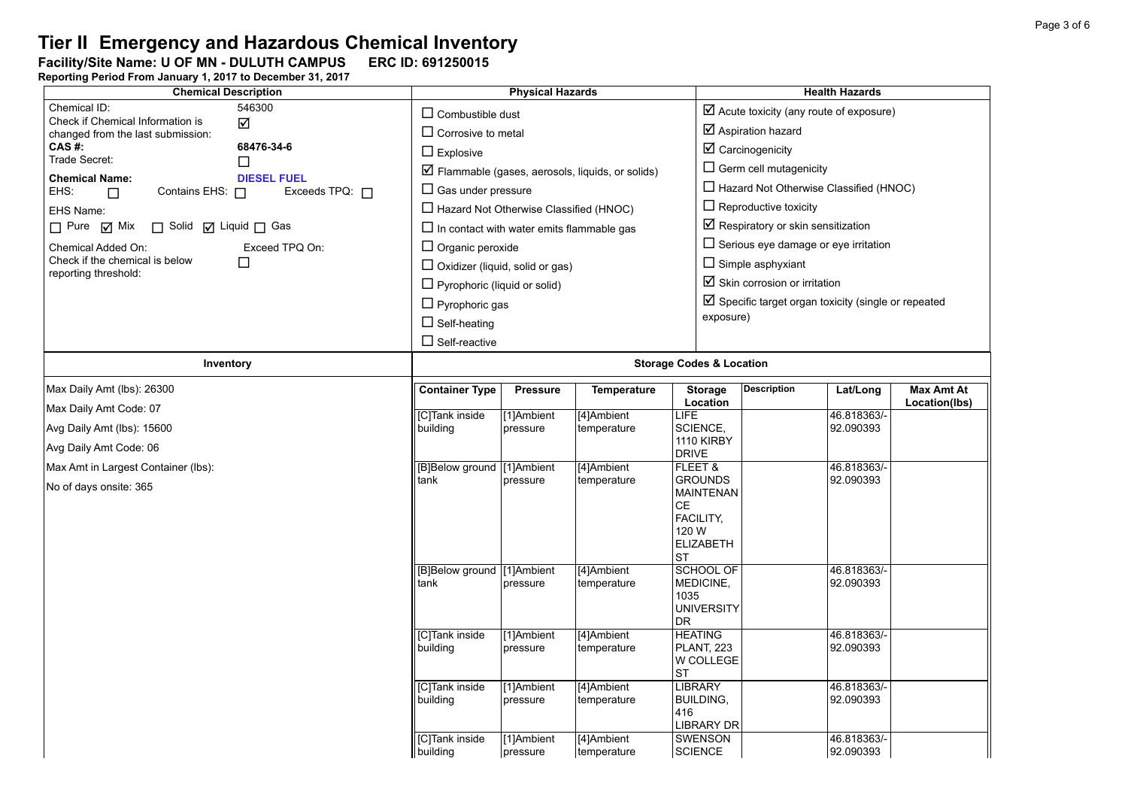# **Tier II Emergency and Hazardous Chemical Inventory**<br>Facility/Site Name: U OF MN - DULUTH CAMPUS ERC ID: 691250015

Facility/Site Name: U OF MN - DULUTH CAMPUS ERC ID: 691250015

| <b>Chemical Description</b>                            | <b>Physical Hazards</b> |                                                      |                        |                                                                 | <b>Health Hazards</b>               |                                                                                     |             |                   |
|--------------------------------------------------------|-------------------------|------------------------------------------------------|------------------------|-----------------------------------------------------------------|-------------------------------------|-------------------------------------------------------------------------------------|-------------|-------------------|
| Chemical ID:<br>Check if Chemical Information is       | 546300<br>$\Delta$      | $\Box$ Combustible dust<br>$\Box$ Corrosive to metal |                        |                                                                 |                                     | $\boxtimes$ Acute toxicity (any route of exposure)<br>$\boxtimes$ Aspiration hazard |             |                   |
| changed from the last submission:<br>CAS #:            | 68476-34-6              |                                                      |                        |                                                                 |                                     | $\boxtimes$ Carcinogenicity                                                         |             |                   |
| Trade Secret:                                          | □                       | $\Box$ Explosive                                     |                        |                                                                 |                                     | $\Box$ Germ cell mutagenicity                                                       |             |                   |
| <b>Chemical Name:</b>                                  | <b>DIESEL FUEL</b>      |                                                      |                        | $\triangledown$ Flammable (gases, aerosols, liquids, or solids) |                                     |                                                                                     |             |                   |
| EHS:<br>Contains EHS: $\Box$<br>$\Box$                 | Exceeds TPQ: $\Box$     | $\Box$ Gas under pressure                            |                        |                                                                 |                                     | $\Box$ Hazard Not Otherwise Classified (HNOC)                                       |             |                   |
| EHS Name:                                              |                         | $\Box$ Hazard Not Otherwise Classified (HNOC)        |                        |                                                                 |                                     | $\Box$ Reproductive toxicity                                                        |             |                   |
| $\Box$ Pure $\Box$ Mix<br>□ Solid □ Liquid □ Gas       |                         | $\Box$ In contact with water emits flammable gas     |                        |                                                                 |                                     | $\boxtimes$ Respiratory or skin sensitization                                       |             |                   |
| Chemical Added On:                                     | Exceed TPQ On:          | $\Box$ Organic peroxide                              |                        |                                                                 |                                     | $\Box$ Serious eye damage or eye irritation                                         |             |                   |
| Check if the chemical is below<br>reporting threshold: | $\Box$                  | $\Box$ Oxidizer (liquid, solid or gas)               |                        |                                                                 |                                     | $\Box$ Simple asphyxiant                                                            |             |                   |
|                                                        |                         | $\Box$ Pyrophoric (liquid or solid)                  |                        |                                                                 |                                     | $\boxtimes$ Skin corrosion or irritation                                            |             |                   |
|                                                        |                         | $\Box$ Pyrophoric gas                                |                        |                                                                 |                                     | $\boxtimes$ Specific target organ toxicity (single or repeated                      |             |                   |
|                                                        |                         | $\Box$ Self-heating                                  |                        |                                                                 | exposure)                           |                                                                                     |             |                   |
|                                                        |                         | $\Box$ Self-reactive                                 |                        |                                                                 |                                     |                                                                                     |             |                   |
| Inventory                                              |                         | <b>Storage Codes &amp; Location</b>                  |                        |                                                                 |                                     |                                                                                     |             |                   |
| Max Daily Amt (lbs): 26300                             |                         | <b>Container Type</b>                                | <b>Pressure</b>        | <b>Temperature</b>                                              | <b>Storage</b>                      | <b>Description</b>                                                                  | Lat/Long    | <b>Max Amt At</b> |
| Max Daily Amt Code: 07                                 |                         | [C]Tank inside                                       | [1]Ambient             | [4]Ambient                                                      | Location<br>LIFE                    |                                                                                     | 46.818363/- | Location(lbs)     |
| Avg Daily Amt (lbs): 15600                             |                         | building                                             | pressure               | temperature                                                     | SCIENCE,                            |                                                                                     | 92.090393   |                   |
| Avg Daily Amt Code: 06                                 |                         |                                                      |                        |                                                                 | <b>1110 KIRBY</b><br><b>DRIVE</b>   |                                                                                     |             |                   |
| Max Amt in Largest Container (lbs):                    |                         | [B]Below ground                                      | [1]Ambient             | [4]Ambient                                                      | FLEET &                             |                                                                                     | 46.818363/- |                   |
| No of days onsite: 365                                 |                         | tank                                                 | pressure               | temperature                                                     | <b>GROUNDS</b>                      |                                                                                     | 92.090393   |                   |
|                                                        |                         |                                                      |                        |                                                                 | <b>MAINTENAN</b><br><b>CE</b>       |                                                                                     |             |                   |
|                                                        |                         |                                                      |                        |                                                                 | FACILITY,                           |                                                                                     |             |                   |
|                                                        |                         |                                                      |                        |                                                                 | 120 W<br><b>ELIZABETH</b>           |                                                                                     |             |                   |
|                                                        |                         |                                                      |                        |                                                                 | <b>ST</b>                           |                                                                                     |             |                   |
|                                                        |                         | [B]Below ground [1]Ambient                           |                        | [4]Ambient                                                      | <b>SCHOOL OF</b>                    |                                                                                     | 46.818363/- |                   |
|                                                        |                         | tank                                                 | pressure               | temperature                                                     | MEDICINE,<br>1035                   |                                                                                     | 92.090393   |                   |
|                                                        |                         |                                                      |                        |                                                                 | <b>UNIVERSITY</b>                   |                                                                                     |             |                   |
|                                                        |                         | [C]Tank inside                                       |                        |                                                                 | <b>DR</b><br><b>HEATING</b>         |                                                                                     | 46.818363/- |                   |
|                                                        |                         | building                                             | [1]Ambient<br>pressure | [4]Ambient<br>temperature                                       | <b>PLANT, 223</b>                   |                                                                                     | 92.090393   |                   |
|                                                        |                         |                                                      |                        |                                                                 | W COLLEGE                           |                                                                                     |             |                   |
|                                                        |                         | [C]Tank inside                                       | [1]Ambient             | [4]Ambient                                                      | <b>ST</b><br><b>LIBRARY</b>         |                                                                                     | 46.818363/- |                   |
|                                                        |                         | building                                             | pressure               | temperature                                                     | <b>BUILDING,</b>                    |                                                                                     | 92.090393   |                   |
|                                                        |                         |                                                      |                        |                                                                 | 416                                 |                                                                                     |             |                   |
|                                                        |                         | <b>[C]Tank inside</b>                                | [1]Ambient             | [4]Ambient                                                      | <b>LIBRARY DR</b><br><b>SWENSON</b> |                                                                                     | 46.818363/- |                   |
|                                                        |                         | building                                             | pressure               | temperature                                                     | <b>SCIENCE</b>                      |                                                                                     | 92.090393   |                   |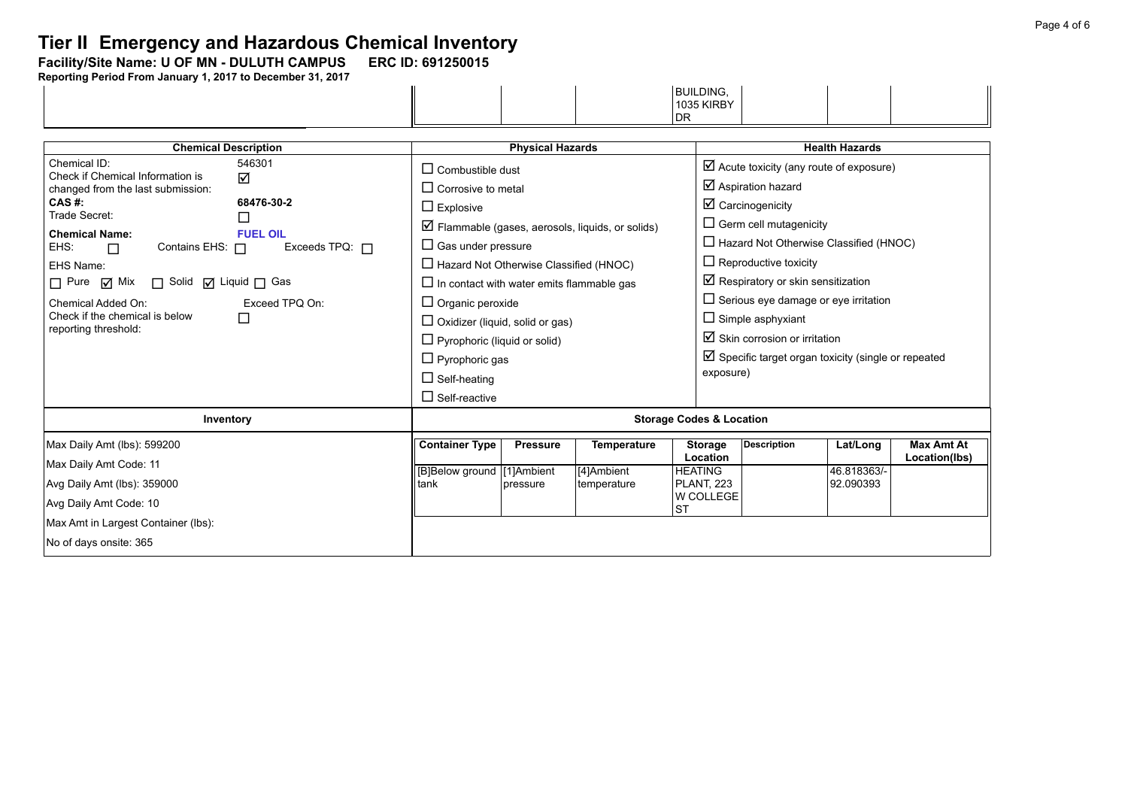### **Tier II -Emergency and Hazardous Chemical Inventory**

Facility/Site Name: U OF MN - DULUTH CAMPUS ERC ID: 691250015

|  |  | <b>BUILDING.</b><br>--- |  |
|--|--|-------------------------|--|
|  |  | <b>1035 KIRBY</b>       |  |
|  |  | וח<br>וש                |  |

| <b>Chemical Description</b>                                                                                                                                                                                                                                                                                                                                                                                                  | <b>Physical Hazards</b>                                                                                                                                                                                                                                                                                                                                                                        |                             |                                                                  |                                                                                             | <b>Health Hazards</b>                                                                                                                                                                                                                                                                                                                                                                                                                                                |                                      |                                    |  |
|------------------------------------------------------------------------------------------------------------------------------------------------------------------------------------------------------------------------------------------------------------------------------------------------------------------------------------------------------------------------------------------------------------------------------|------------------------------------------------------------------------------------------------------------------------------------------------------------------------------------------------------------------------------------------------------------------------------------------------------------------------------------------------------------------------------------------------|-----------------------------|------------------------------------------------------------------|---------------------------------------------------------------------------------------------|----------------------------------------------------------------------------------------------------------------------------------------------------------------------------------------------------------------------------------------------------------------------------------------------------------------------------------------------------------------------------------------------------------------------------------------------------------------------|--------------------------------------|------------------------------------|--|
| Chemical ID:<br>546301<br>Check if Chemical Information is<br>☑<br>changed from the last submission:<br>CAS #:<br>68476-30-2<br>Trade Secret:<br>l I<br><b>Chemical Name:</b><br><b>FUEL OIL</b><br>Exceeds TPQ: $\Box$<br>EHS:<br>Contains EHS: $\Box$<br>П<br>EHS Name:<br>□ Pure M Mix □ Solid M Liquid □ Gas<br>Chemical Added On:<br>Exceed TPO On:<br>Check if the chemical is below<br>$\Box$<br>reporting threshold: | $\Box$ Combustible dust<br>$\Box$ Corrosive to metal<br>$\Box$ Explosive<br>$\Box$ Gas under pressure<br>$\Box$ Hazard Not Otherwise Classified (HNOC)<br>$\Box$ In contact with water emits flammable gas<br>$\Box$ Organic peroxide<br>$\Box$ Oxidizer (liquid, solid or gas)<br>$\Box$ Pyrophoric (liquid or solid)<br>$\Box$ Pyrophoric gas<br>$\Box$ Self-heating<br>$\Box$ Self-reactive |                             | $\triangleright$ Flammable (gases, aerosols, liquids, or solids) | exposure)                                                                                   | $\boxtimes$ Acute toxicity (any route of exposure)<br>☑ Aspiration hazard<br>$\boxtimes$ Carcinogenicity<br>$\Box$ Germ cell mutagenicity<br>$\Box$ Hazard Not Otherwise Classified (HNOC)<br>$\Box$ Reproductive toxicity<br>$\boxtimes$ Respiratory or skin sensitization<br>$\Box$ Serious eye damage or eye irritation<br>$\Box$ Simple asphyxiant<br>$\boxtimes$ Skin corrosion or irritation<br>$\boxtimes$ Specific target organ toxicity (single or repeated |                                      |                                    |  |
| Inventory                                                                                                                                                                                                                                                                                                                                                                                                                    | <b>Storage Codes &amp; Location</b>                                                                                                                                                                                                                                                                                                                                                            |                             |                                                                  |                                                                                             |                                                                                                                                                                                                                                                                                                                                                                                                                                                                      |                                      |                                    |  |
| Max Daily Amt (lbs): 599200<br>Max Daily Amt Code: 11<br>Avg Daily Amt (lbs): 359000<br>Avg Daily Amt Code: 10<br>Max Amt in Largest Container (lbs):<br>No of days onsite: 365                                                                                                                                                                                                                                              | <b>Container Type</b><br>[B]Below ground   [1]Ambient<br>tank                                                                                                                                                                                                                                                                                                                                  | <b>Pressure</b><br>pressure | Temperature<br>[4]Ambient<br>temperature                         | <b>Storage</b><br>Location<br><b>HEATING</b><br><b>PLANT, 223</b><br>W COLLEGE<br><b>ST</b> | <b>Description</b>                                                                                                                                                                                                                                                                                                                                                                                                                                                   | Lat/Long<br>46.818363/-<br>92.090393 | <b>Max Amt At</b><br>Location(lbs) |  |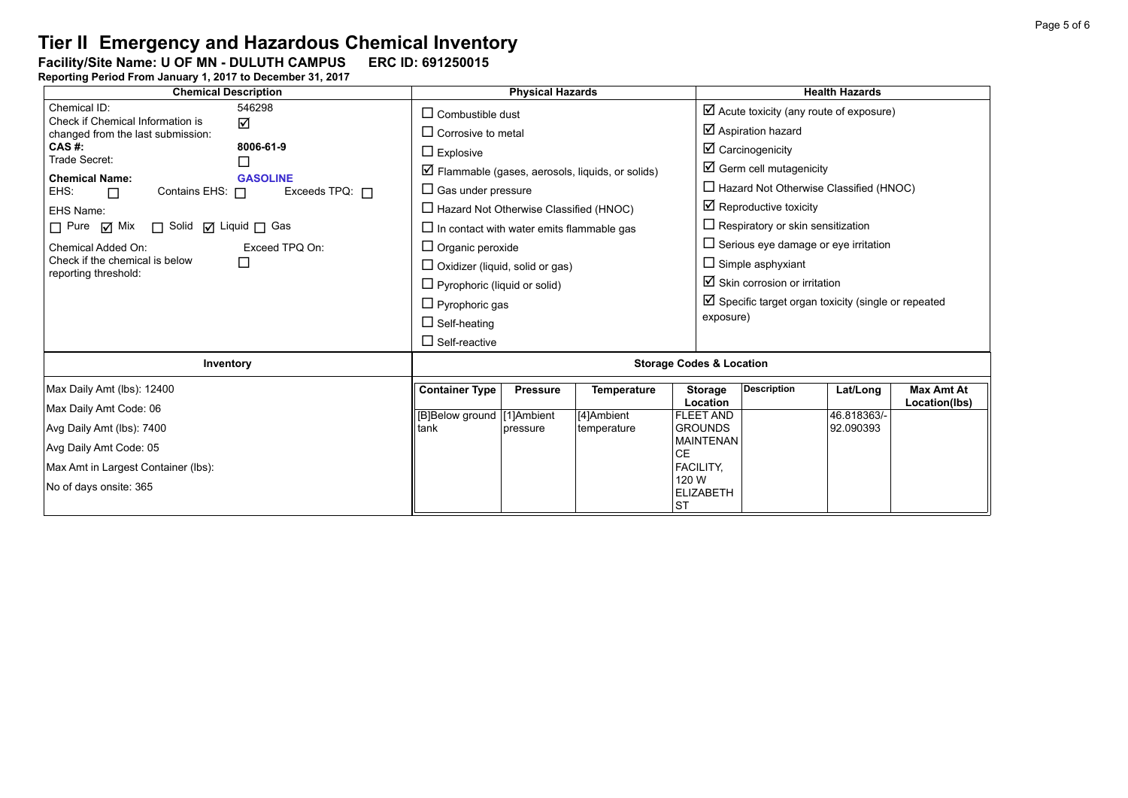# **Tier II Emergency and Hazardous Chemical Inventory**<br>Facility/Site Name: U OF MN - DULUTH CAMPUS ERC ID: 691250015

Facility/Site Name: U OF MN - DULUTH CAMPUS ERC ID: 691250015

| <b>Chemical Description</b>                                                                                                                                                  | <b>Physical Hazards</b>                                                                                                                                                                                                                                                                                                                                                                          |                             |                                                 |                                                                                                                                                          | <b>Health Hazards</b>                                                                                                                                                                                                                          |                                      |                                    |  |
|------------------------------------------------------------------------------------------------------------------------------------------------------------------------------|--------------------------------------------------------------------------------------------------------------------------------------------------------------------------------------------------------------------------------------------------------------------------------------------------------------------------------------------------------------------------------------------------|-----------------------------|-------------------------------------------------|----------------------------------------------------------------------------------------------------------------------------------------------------------|------------------------------------------------------------------------------------------------------------------------------------------------------------------------------------------------------------------------------------------------|--------------------------------------|------------------------------------|--|
| Chemical ID:<br>546298<br>Check if Chemical Information is<br>☑<br>changed from the last submission:                                                                         | $\Box$ Combustible dust<br>$\Box$ Corrosive to metal                                                                                                                                                                                                                                                                                                                                             |                             |                                                 |                                                                                                                                                          | $\boxtimes$ Acute toxicity (any route of exposure)<br>$\boxtimes$ Aspiration hazard                                                                                                                                                            |                                      |                                    |  |
| CAS #:<br>8006-61-9<br>Trade Secret:<br><b>Chemical Name:</b><br><b>GASOLINE</b><br>Exceeds TPQ: $\Box$<br>Contains EHS: 0<br>EHS:<br>$\Box$<br>EHS Name:                    | $\Box$ Explosive<br>$\Box$ Flammable (gases, aerosols, liquids, or solids)<br>$\Box$ Gas under pressure<br>$\Box$ Hazard Not Otherwise Classified (HNOC)<br>$\Box$ In contact with water emits flammable gas<br>$\Box$ Organic peroxide<br>$\Box$ Oxidizer (liquid, solid or gas)<br>$\Box$ Pyrophoric (liquid or solid)<br>$\Box$ Pyrophoric gas<br>$\Box$ Self-heating<br>$\Box$ Self-reactive |                             |                                                 |                                                                                                                                                          | $\boxtimes$ Carcinogenicity<br>$\boxtimes$ Germ cell mutagenicity<br>$\Box$ Hazard Not Otherwise Classified (HNOC)<br>$\boxtimes$ Reproductive toxicity                                                                                        |                                      |                                    |  |
| □ Solid □ Liquid □ Gas<br>$\Box$ Pure $\Box$ Mix<br>Chemical Added On:<br>Exceed TPQ On:<br>Check if the chemical is below<br>reporting threshold:                           |                                                                                                                                                                                                                                                                                                                                                                                                  |                             |                                                 |                                                                                                                                                          | $\Box$ Respiratory or skin sensitization<br>$\Box$ Serious eye damage or eye irritation<br>$\Box$ Simple asphyxiant<br>$\boxtimes$ Skin corrosion or irritation<br>$\boxtimes$ Specific target organ toxicity (single or repeated<br>exposure) |                                      |                                    |  |
| Inventory                                                                                                                                                                    | <b>Storage Codes &amp; Location</b>                                                                                                                                                                                                                                                                                                                                                              |                             |                                                 |                                                                                                                                                          |                                                                                                                                                                                                                                                |                                      |                                    |  |
| Max Daily Amt (lbs): 12400<br>Max Daily Amt Code: 06<br>Avg Daily Amt (lbs): 7400<br>Avg Daily Amt Code: 05<br>Max Amt in Largest Container (lbs):<br>No of days onsite: 365 | <b>Container Type</b><br>[B]Below ground [1]Ambient<br>tank                                                                                                                                                                                                                                                                                                                                      | <b>Pressure</b><br>pressure | <b>Temperature</b><br>[4]Ambient<br>temperature | <b>Storage</b><br>Location<br><b>FLEET AND</b><br><b>GROUNDS</b><br><b>MAINTENAN</b><br><b>CE</b><br>FACILITY,<br>120 W<br><b>ELIZABETH</b><br><b>ST</b> | <b>Description</b>                                                                                                                                                                                                                             | Lat/Long<br>46.818363/-<br>92.090393 | <b>Max Amt At</b><br>Location(lbs) |  |